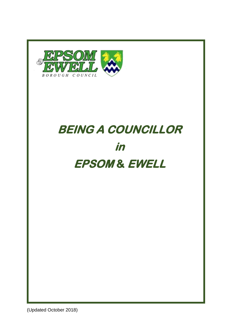

# **BEING A COUNCILLOR in EPSOM & EWELL**

(Updated October 2018)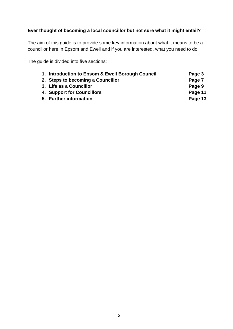# **Ever thought of becoming a local councillor but not sure what it might entail?**

The aim of this guide is to provide some key information about what it means to be a councillor here in Epsom and Ewell and if you are interested, what you need to do.

The guide is divided into five sections:

| 1. Introduction to Epsom & Ewell Borough Council | Page 3  |
|--------------------------------------------------|---------|
| 2. Steps to becoming a Councillor                | Page 7  |
| 3. Life as a Councillor                          | Page 9  |
| 4. Support for Councillors                       | Page 11 |
| 5. Further information                           | Page 13 |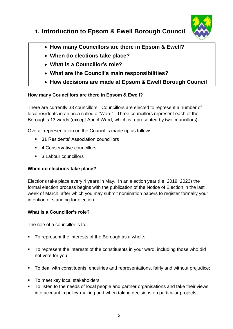

# **1. Introduction to Epsom & Ewell Borough Council**

- **How many Councillors are there in Epsom & Ewell?**
- **When do elections take place?**
- **What is a Councillor's role?**
- **What are the Council's main responsibilities?**
- **How decisions are made at Epsom & Ewell Borough Council**

# **How many Councillors are there in Epsom & Ewell?**

There are currently 38 councillors. Councillors are elected to represent a number of local residents in an area called a "Ward". Three councillors represent each of the Borough's 13 wards (except Auriol Ward, which is represented by two councillors).

Overall representation on the Council is made up as follows:

- 31 Residents' Association councillors
- 4 Conservative councillors
- 3 Labour councillors

# **When do elections take place?**

Elections take place every 4 years in May. In an election year (i.e. 2019, 2023) the formal election process begins with the publication of the Notice of Election in the last week of March, after which you may submit nomination papers to register formally your intention of standing for election.

# **What is a Councillor's role?**

The role of a councillor is to:

- To represent the interests of the Borough as a whole;
- To represent the interests of the constituents in your ward, including those who did not vote for you;
- To deal with constituents' enquiries and representations, fairly and without prejudice;
- To meet key local stakeholders;
- To listen to the needs of local people and partner organisations and take their views into account in policy-making and when taking decisions on particular projects;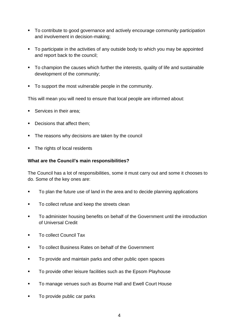- To contribute to good governance and actively encourage community participation and involvement in decision-making;
- To participate in the activities of any outside body to which you may be appointed and report back to the council;
- To champion the causes which further the interests, quality of life and sustainable development of the community;
- To support the most vulnerable people in the community.

This will mean you will need to ensure that local people are informed about:

- Services in their area:
- Decisions that affect them;
- The reasons why decisions are taken by the council
- The rights of local residents

#### **What are the Council's main responsibilities?**

The Council has a lot of responsibilities, some it must carry out and some it chooses to do. Some of the key ones are:

- To plan the future use of land in the area and to decide planning applications
- To collect refuse and keep the streets clean
- To administer housing benefits on behalf of the Government until the introduction of Universal Credit
- **To collect Council Tax**
- To collect Business Rates on behalf of the Government
- **To provide and maintain parks and other public open spaces**
- To provide other leisure facilities such as the Epsom Playhouse
- To manage venues such as Bourne Hall and Ewell Court House
- To provide public car parks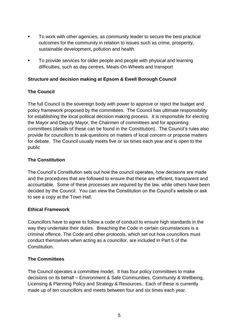- To work with other agencies, as community leader to secure the best practical outcomes for the community in relation to issues such as crime, prosperity, sustainable development, pollution and health.
- **To provide services for older people and people with physical and learning** difficulties, such as day centres, Meals-On-Wheels and transport

## **Structure and decision making at Epsom & Ewell Borough Council**

## **The Council**

The full Council is the sovereign body with power to approve or reject the budget and policy framework proposed by the committees. The Council has ultimate responsibility for establishing the local political decision making process. It is responsible for electing the Mayor and Deputy Mayor, the Chairmen of committees and for appointing committees (details of these can be found in the Constitution). The Council's rules also provide for councillors to ask questions on matters of local concern or propose matters for debate. The Council usually meets five or six times each year and is open to the public

#### **The Constitution**

The Council's Constitution sets out how the council operates, how decisions are made and the procedures that are followed to ensure that these are efficient, transparent and accountable. Some of these processes are required by the law, while others have been decided by the Council. You can view the Constitution on the Council's website or ask to see a copy at the Town Hall.

#### **Ethical Framework**

Councillors have to agree to follow a code of conduct to ensure high standards in the way they undertake their duties. Breaching the Code in certain circumstances is a criminal offence. The Code and other protocols, which set out how councillors must conduct themselves when acting as a councillor, are included in Part 5 of the Constitution.

#### **The Committees**

The Council operates a committee model. It has four policy committees to make decisions on its behalf – Environment & Safe Communities, Community & Wellbeing, Licensing & Planning Policy and Strategy & Resources. Each of these is currently made up of ten councillors and meets between four and six times each year.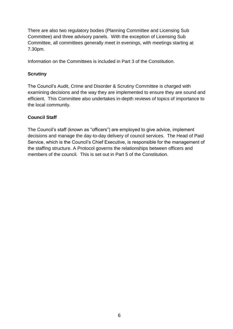There are also two regulatory bodies (Planning Committee and Licensing Sub Committee) and three advisory panels. With the exception of Licensing Sub Committee, all committees generally meet in evenings, with meetings starting at 7.30pm.

Information on the Committees is included in Part 3 of the Constitution.

# **Scrutiny**

The Council's Audit, Crime and Disorder & Scrutiny Committee is charged with examining decisions and the way they are implemented to ensure they are sound and efficient. This Committee also undertakes in-depth reviews of topics of importance to the local community.

# **Council Staff**

The Council's staff (known as "officers") are employed to give advice, implement decisions and manage the day-to-day delivery of council services. The Head of Paid Service, which is the Council's Chief Executive, is responsible for the management of the staffing structure. A Protocol governs the relationships between officers and members of the council. This is set out in Part 5 of the Constitution.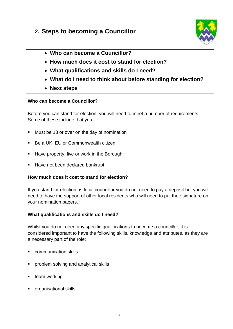# **2. Steps to becoming a Councillor**



- **Who can become a Councillor?**
- **How much does it cost to stand for election?**
- **What qualifications and skills do I need?**
- **What do I need to think about before standing for election?**
- **Next steps**

## **Who can become a Councillor?**

Before you can stand for election, you will need to meet a number of requirements. Some of these include that you:

- **Must be 18 or over on the day of nomination**
- Be a UK, EU or Commonwealth citizen
- Have property, live or work in the Borough
- Have not been declared bankrupt

# **How much does it cost to stand for election?**

If you stand for election as local councillor you do not need to pay a deposit but you will need to have the support of other local residents who will need to put their signature on your nomination papers.

# **What qualifications and skills do I need?**

Whilst you do not need any specific qualifications to become a councillor, it is considered important to have the following skills, knowledge and attributes, as they are a necessary part of the role:

- communication skills
- **•** problem solving and analytical skills
- **team working**
- organisational skills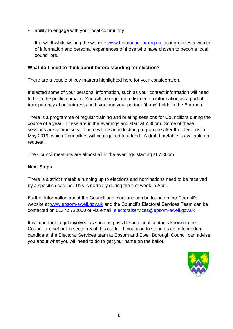ability to engage with your local community

It is worthwhile visiting the website [www.beacouncillor.org.uk,](http://www.beacouncillor.org.uk/) as it provides a wealth of information and personal experiences of those who have chosen to become local councillors.

#### **What do I need to think about before standing for election?**

There are a couple of key matters highlighted here for your consideration.

If elected some of your personal information, such as your contact information will need to be in the public domain. You will be required to list certain information as a part of transparency about interests both you and your partner (if any) holds in the Borough.

There is a programme of regular training and briefing sessions for Councillors during the course of a year. These are in the evenings and start at 7.30pm. Some of these sessions are compulsory. There will be an induction programme after the elections in May 2019, which Councillors will be required to attend. A draft timetable is available on request.

The Council meetings are almost all in the evenings starting at 7.30pm.

#### **Next Steps**

There is a strict timetable running up to elections and nominations need to be received by a specific deadline. This is normally during the first week in April.

Further information about the Council and elections can be found on the Council's website at [www.epsom-ewell.gov.uk](http://www.epsom-ewell.gov.uk/) and the Council's Electoral Services Team can be contacted on 01372 732000 or via email: [electoralservices@epsom-ewell.gov.uk](mailto:electoralservices@epsom-ewell.gov.uk)

It is important to get involved as soon as possible and local contacts known to this Council are set out in section 5 of this guide. If you plan to stand as an independent candidate, the Electoral Services team at Epsom and Ewell Borough Council can advise you about what you will need to do to get your name on the ballot.

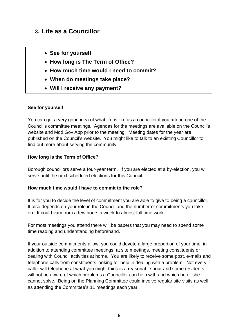# **3. Life as a Councillor**

- **See for yourself**
- **How long is The Term of Office?**
- **How much time would I need to commit?**
- **When do meetings take place?**
- **Will I receive any payment?**

#### **See for yourself**

You can get a very good idea of what life is like as a councillor if you attend one of the Council's committee meetings. Agendas for the meetings are available on the Council's website and Mod.Gov App prior to the meeting. Meeting dates for the year are published on the Council's website. You might like to talk to an existing Councillor to find out more about serving the community.

## **How long is the Term of Office?**

Borough councillors serve a four-year term. If you are elected at a by-election, you will serve until the next scheduled elections for this Council.

#### **How much time would I have to commit to the role?**

It is for you to decide the level of commitment you are able to give to being a councillor. It also depends on your role in the Council and the number of commitments you take on. It could vary from a few hours a week to almost full time work.

For most meetings you attend there will be papers that you may need to spend some time reading and understanding beforehand.

If your outside commitments allow, you could devote a large proportion of your time, in addition to attending committee meetings, at site meetings, meeting constituents or dealing with Council activities at home. You are likely to receive some post, e-mails and telephone calls from constituents looking for help in dealing with a problem. Not every caller will telephone at what you might think is a reasonable hour and some residents will not be aware of which problems a Councillor can help with and which he or she cannot solve. Being on the Planning Committee could involve regular site visits as well as attending the Committee's 11 meetings each year.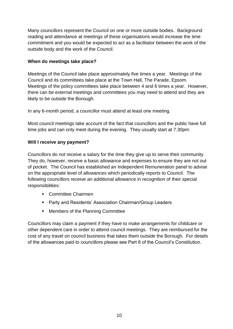Many councillors represent the Council on one or more outside bodies. Background reading and attendance at meetings of these organisations would increase the time commitment and you would be expected to act as a facilitator between the work of the outside body and the work of the Council.

# **When do meetings take place?**

Meetings of the Council take place approximately five times a year. Meetings of the Council and its committees take place at the Town Hall, The Parade, Epsom. Meetings of the policy committees take place between 4 and 6 times a year. However, there can be external meetings and committees you may need to attend and they are likely to be outside the Borough.

In any 6-month period, a councillor must attend at least one meeting.

Most council meetings take account of the fact that councillors and the public have full time jobs and can only meet during the evening. They usually start at 7.30pm.

## **Will I receive any payment?**

Councillors do not receive a salary for the time they give up to serve their community. They do, however, receive a basic allowance and expenses to ensure they are not out of pocket. The Council has established an Independent Remuneration panel to advise on the appropriate level of allowances which periodically reports to Council. The following councillors receive an additional allowance in recognition of their special responsibilities:

- Committee Chairmen
- **Party and Residents' Association Chairman/Group Leaders**
- Members of the Planning Committee

Councillors may claim a payment if they have to make arrangements for childcare or other dependent care in order to attend council meetings. They are reimbursed for the cost of any travel on council business that takes them outside the Borough. For details of the allowances paid to councillors please see Part 6 of the Council's Constitution.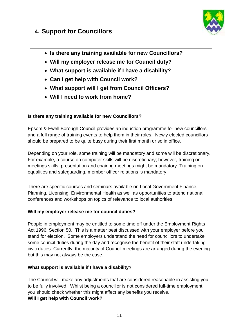# **4. Support for Councillors**



- **Is there any training available for new Councillors?**
- **Will my employer release me for Council duty?**
- **What support is available if I have a disability?**
- **Can I get help with Council work?**
- **What support will I get from Council Officers?**
- **Will I need to work from home?**

# **Is there any training available for new Councillors?**

Epsom & Ewell Borough Council provides an induction programme for new councillors and a full range of training events to help them in their roles. Newly elected councillors should be prepared to be quite busy during their first month or so in office.

Depending on your role, some training will be mandatory and some will be discretionary. For example, a course on computer skills will be discretionary; however, training on meetings skills, presentation and chairing meetings might be mandatory. Training on equalities and safeguarding, member officer relations is mandatory.

There are specific courses and seminars available on Local Government Finance, Planning, Licensing, Environmental Health as well as opportunities to attend national conferences and workshops on topics of relevance to local authorities.

# **Will my employer release me for council duties?**

People in employment may be entitled to some time off under the Employment Rights Act 1996, Section 50. This is a matter best discussed with your employer before you stand for election. Some employers understand the need for councillors to undertake some council duties during the day and recognise the benefit of their staff undertaking civic duties. Currently, the majority of Council meetings are arranged during the evening but this may not always be the case.

# **What support is available if I have a disability?**

The Council will make any adjustments that are considered reasonable in assisting you to be fully involved. Whilst being a councillor is not considered full-time employment, you should check whether this might affect any benefits you receive. **Will I get help with Council work?**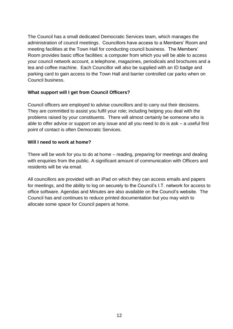The Council has a small dedicated Democratic Services team, which manages the administration of council meetings. Councillors have access to a Members' Room and meeting facilities at the Town Hall for conducting council business. The Members' Room provides basic office facilities: a computer from which you will be able to access your council network account, a telephone, magazines, periodicals and brochures and a tea and coffee machine. Each Councillor will also be supplied with an ID badge and parking card to gain access to the Town Hall and barrier controlled car parks when on Council business.

## **What support will I get from Council Officers?**

Council officers are employed to advise councillors and to carry out their decisions. They are committed to assist you fulfil your role; including helping you deal with the problems raised by your constituents. There will almost certainly be someone who is able to offer advice or support on any issue and all you need to do is ask – a useful first point of contact is often Democratic Services.

#### **Will I need to work at home?**

There will be work for you to do at home – reading, preparing for meetings and dealing with enquiries from the public. A significant amount of communication with Officers and residents will be via email.

All councillors are provided with an iPad on which they can access emails and papers for meetings, and the ability to log on securely to the Council's I.T. network for access to office software. Agendas and Minutes are also available on the Council's website. The Council has and continues to reduce printed documentation but you may wish to allocate some space for Council papers at home.